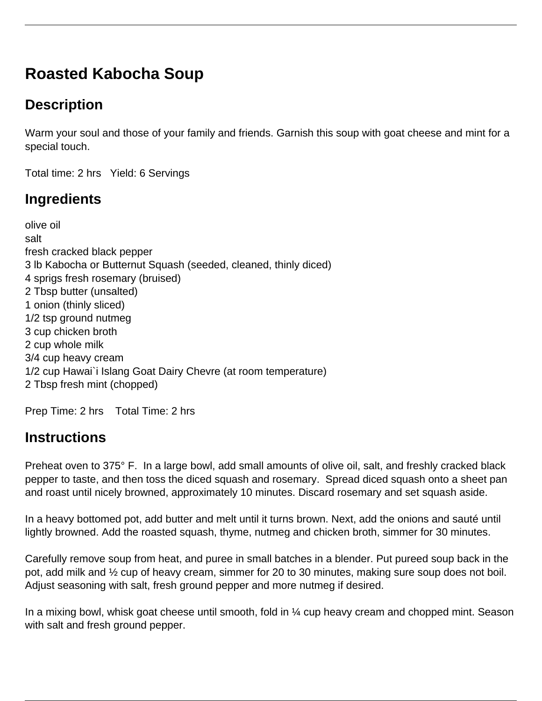# **Roasted Kabocha Soup**

# **Description**

Warm your soul and those of your family and friends. Garnish this soup with goat cheese and mint for a special touch.

Total time: 2 hrs Yield: 6 Servings

# **Ingredients**

olive oil salt fresh cracked black pepper 3 lb Kabocha or Butternut Squash (seeded, cleaned, thinly diced) 4 sprigs fresh rosemary (bruised) 2 Tbsp butter (unsalted) 1 onion (thinly sliced) 1/2 tsp ground nutmeg 3 cup chicken broth 2 cup whole milk 3/4 cup heavy cream 1/2 cup Hawai`i Islang Goat Dairy Chevre (at room temperature) 2 Tbsp fresh mint (chopped)

Prep Time: 2 hrs Total Time: 2 hrs

### **Instructions**

Preheat oven to 375° F. In a large bowl, add small amounts of olive oil, salt, and freshly cracked black pepper to taste, and then toss the diced squash and rosemary. Spread diced squash onto a sheet pan and roast until nicely browned, approximately 10 minutes. Discard rosemary and set squash aside.

In a heavy bottomed pot, add butter and melt until it turns brown. Next, add the onions and sauté until lightly browned. Add the roasted squash, thyme, nutmeg and chicken broth, simmer for 30 minutes.

Carefully remove soup from heat, and puree in small batches in a blender. Put pureed soup back in the pot, add milk and ½ cup of heavy cream, simmer for 20 to 30 minutes, making sure soup does not boil. Adjust seasoning with salt, fresh ground pepper and more nutmeg if desired.

In a mixing bowl, whisk goat cheese until smooth, fold in  $\frac{1}{4}$  cup heavy cream and chopped mint. Season with salt and fresh ground pepper.